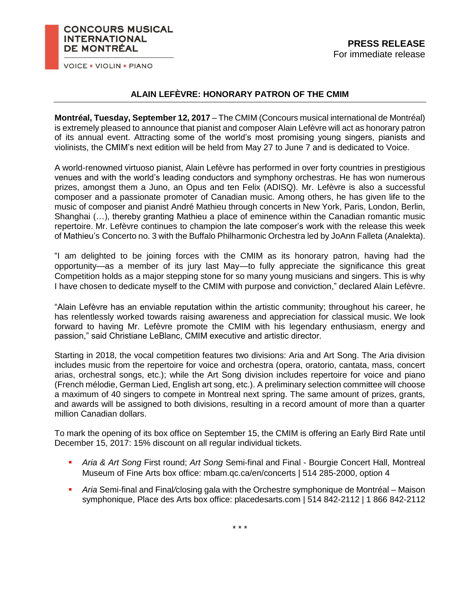## **CONCOURS MUSICAL INTERNATIONAL** DE MONTRÉAL

**VOICE . VIOLIN . PIANO** 

## **ALAIN LEFÈVRE: HONORARY PATRON OF THE CMIM**

**Montréal, Tuesday, September 12, 2017** – The CMIM (Concours musical international de Montréal) is extremely pleased to announce that pianist and composer Alain Lefèvre will act as honorary patron of its annual event. Attracting some of the world's most promising young singers, pianists and violinists, the CMIM's next edition will be held from May 27 to June 7 and is dedicated to Voice.

A world-renowned virtuoso pianist, Alain Lefèvre has performed in over forty countries in prestigious venues and with the world's leading conductors and symphony orchestras. He has won numerous prizes, amongst them a Juno, an Opus and ten Felix (ADISQ). Mr. Lefèvre is also a successful composer and a passionate promoter of Canadian music. Among others, he has given life to the music of composer and pianist André Mathieu through concerts in New York, Paris, London, Berlin, Shanghai (…), thereby granting Mathieu a place of eminence within the Canadian romantic music repertoire. Mr. Lefèvre continues to champion the late composer's work with the release this week of Mathieu's Concerto no. 3 with the Buffalo Philharmonic Orchestra led by JoAnn Falleta (Analekta).

"I am delighted to be joining forces with the CMIM as its honorary patron, having had the opportunity—as a member of its jury last May—to fully appreciate the significance this great Competition holds as a major stepping stone for so many young musicians and singers. This is why I have chosen to dedicate myself to the CMIM with purpose and conviction," declared Alain Lefèvre.

"Alain Lefèvre has an enviable reputation within the artistic community; throughout his career, he has relentlessly worked towards raising awareness and appreciation for classical music. We look forward to having Mr. Lefèvre promote the CMIM with his legendary enthusiasm, energy and passion," said Christiane LeBlanc, CMIM executive and artistic director.

Starting in 2018, the vocal competition features two divisions: Aria and Art Song. The Aria division includes music from the repertoire for voice and orchestra (opera, oratorio, cantata, mass, concert arias, orchestral songs, etc.); while the Art Song division includes repertoire for voice and piano (French mélodie, German Lied, English art song, etc.). A preliminary selection committee will choose a maximum of 40 singers to compete in Montreal next spring. The same amount of prizes, grants, and awards will be assigned to both divisions, resulting in a record amount of more than a quarter million Canadian dollars.

To mark the opening of its box office on September 15, the CMIM is offering an Early Bird Rate until December 15, 2017: 15% discount on all regular individual tickets.

- *Aria & Art Song* First round; *Art Song* Semi-final and Final Bourgie Concert Hall, Montreal Museum of Fine Arts box office: mbam.qc.ca/en/concerts | 514 285-2000, option 4
- *Aria* Semi-final and Final*/*closing gala with the Orchestre symphonique de Montréal Maison symphonique, Place des Arts box office: placedesarts.com | 514 842-2112 | 1 866 842-2112

\* \* \*